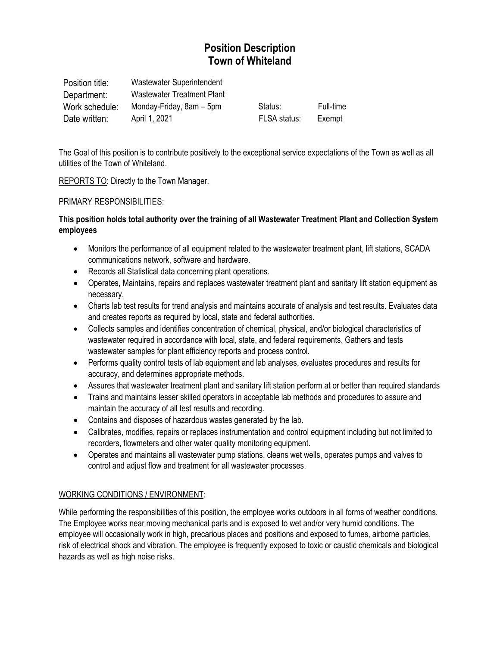# **Position Description Town of Whiteland**

| Position title: | Wastewater Superintendent  |              |           |
|-----------------|----------------------------|--------------|-----------|
| Department:     | Wastewater Treatment Plant |              |           |
| Work schedule:  | Monday-Friday, 8am – 5pm   | Status:      | Full-time |
| Date written:   | April 1, 2021              | FLSA status: | Exempt    |

The Goal of this position is to contribute positively to the exceptional service expectations of the Town as well as all utilities of the Town of Whiteland.

REPORTS TO: Directly to the Town Manager.

### PRIMARY RESPONSIBILITIES:

## **This position holds total authority over the training of all Wastewater Treatment Plant and Collection System employees**

- Monitors the performance of all equipment related to the wastewater treatment plant, lift stations, SCADA communications network, software and hardware.
- Records all Statistical data concerning plant operations.
- Operates, Maintains, repairs and replaces wastewater treatment plant and sanitary lift station equipment as necessary.
- Charts lab test results for trend analysis and maintains accurate of analysis and test results. Evaluates data and creates reports as required by local, state and federal authorities.
- Collects samples and identifies concentration of chemical, physical, and/or biological characteristics of wastewater required in accordance with local, state, and federal requirements. Gathers and tests wastewater samples for plant efficiency reports and process control.
- Performs quality control tests of lab equipment and lab analyses, evaluates procedures and results for accuracy, and determines appropriate methods.
- Assures that wastewater treatment plant and sanitary lift station perform at or better than required standards
- Trains and maintains lesser skilled operators in acceptable lab methods and procedures to assure and maintain the accuracy of all test results and recording.
- Contains and disposes of hazardous wastes generated by the lab.
- Calibrates, modifies, repairs or replaces instrumentation and control equipment including but not limited to recorders, flowmeters and other water quality monitoring equipment.
- Operates and maintains all wastewater pump stations, cleans wet wells, operates pumps and valves to control and adjust flow and treatment for all wastewater processes.

## WORKING CONDITIONS / ENVIRONMENT:

While performing the responsibilities of this position, the employee works outdoors in all forms of weather conditions. The Employee works near moving mechanical parts and is exposed to wet and/or very humid conditions. The employee will occasionally work in high, precarious places and positions and exposed to fumes, airborne particles, risk of electrical shock and vibration. The employee is frequently exposed to toxic or caustic chemicals and biological hazards as well as high noise risks.